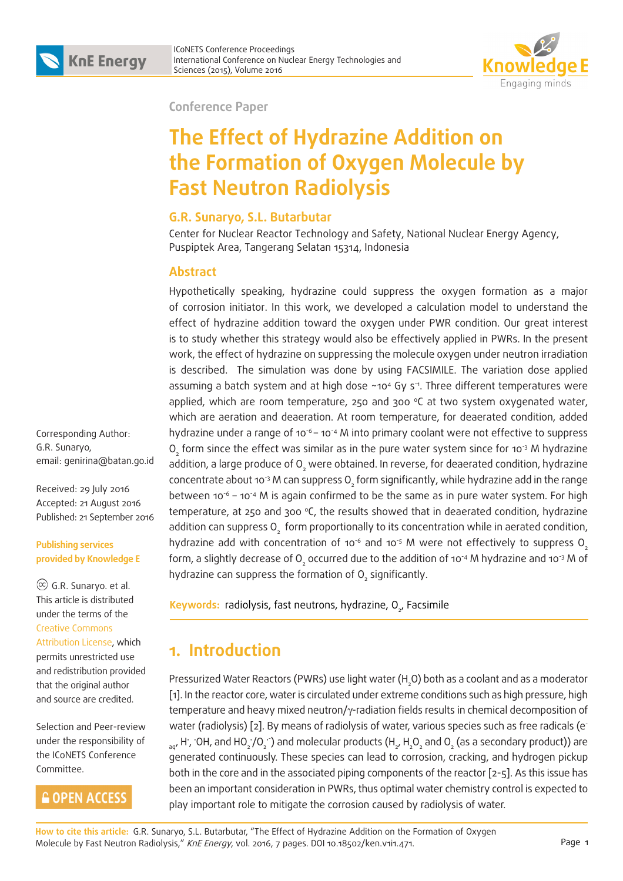

**Conference Paper**

# **The Effect of Hydrazine Addition on the Formation of Oxygen Molecule by Fast Neutron Radiolysis**

#### **G.R. Sunaryo, S.L. Butarbutar**

Center for Nuclear Reactor Technology and Safety, National Nuclear Energy Agency, Puspiptek Area, Tangerang Selatan 15314, Indonesia

#### **Abstract**

Hypothetically speaking, hydrazine could suppress the oxygen formation as a major of corrosion initiator. In this work, we developed a calculation model to understand the effect of hydrazine addition toward the oxygen under PWR condition. Our great interest is to study whether this strategy would also be effectively applied in PWRs. In the present work, the effect of hydrazine on suppressing the molecule oxygen under neutron irradiation is described. The simulation was done by using FACSIMILE. The variation dose applied assuming a batch system and at high dose  $~104$  Gy s<sup>-1</sup>. Three different temperatures were applied, which are room temperature, 250 and 300 °C at two system oxygenated water, which are aeration and deaeration. At room temperature, for deaerated condition, added hydrazine under a range of 10<sup>-6</sup> – 10<sup>-4</sup> M into primary coolant were not effective to suppress  $\overline{\mathrm{O}}_{\mathrm{2}}$  form since the effect was similar as in the pure water system since for 10<sup>-3</sup> M hydrazine addition, a large produce of  ${\mathsf O}_{_2}$  were obtained. In reverse, for deaerated condition, hydrazine concentrate about 10<sup>-3</sup> M can suppress O<sub>2</sub> form significantly, while hydrazine add in the range between  $10^{-6}$  – 10<sup>-4</sup> M is again confirmed to be the same as in pure water system. For high temperature, at 250 and 300 °C, the results showed that in deaerated condition, hydrazine addition can suppress  ${\mathsf O}_{_{\!2}}$  form proportionally to its concentration while in aerated condition, hydrazine add with concentration of 10 $\degree$  and 10 $\degree$  M were not effectively to suppress O<sub>2</sub> form, a slightly decrease of O<sub>2</sub> occurred due to the addition of 10<sup>-4</sup> M hydrazine and 10<sup>-3</sup> M of hydrazine can suppress the formation of  ${\mathsf O}_{_2}$  significantly.

<mark>Keywords:</mark> radiolysis, fast neutrons, hydrazine, O<sub>2</sub>, Facsimile

# **1. Introduction**

Pressurized Water Reactors (PWRs) use light water (H<sub>2</sub>O) both as a coolant and as a moderator [1]. In the reactor core, water is circulated under extreme conditions such as high pressure, high temperature and heavy mixed neutron/γ-radiation fields results in chemical decomposition of water (radiolysis) [2]. By means of radiolysis of water, various species such as free radicals (e- $_{aq'}$  H ,  $\cdot$ OH, and HO $_2$ /O $_2$   $\cdot$  ) and molecular products (H  $_2$ , H  $_2$ O  $_2$  and O  $_2$  (as a secondary product)) are generated continuously. These species can lead to corrosion, cracking, and hydrogen pickup both in the core and in the associated piping components of the reactor [2-5]. As this issue has been an important consideration in PWRs, thus optimal water chemistry control is expected to play important role to mitigate the corrosion caused by radiolysis of water.

Corresponding Author: G.R. Sunaryo, email: genirina@batan.go.id

Received: 29 July 2016 Accepted: 21 August 2016 Published: 21 September 2016

**Publishing services provided by Knowledge E**

 G.R. Sunaryo. et al. This article is distributed under the terms of the Creative Commons Attribution License, which

permits unrestricted use and redistribution provided that the original author and source are credited.

Selection and Peer-review under the responsibility of the ICoNETS Conference Committee.

## **GOPEN ACCESS**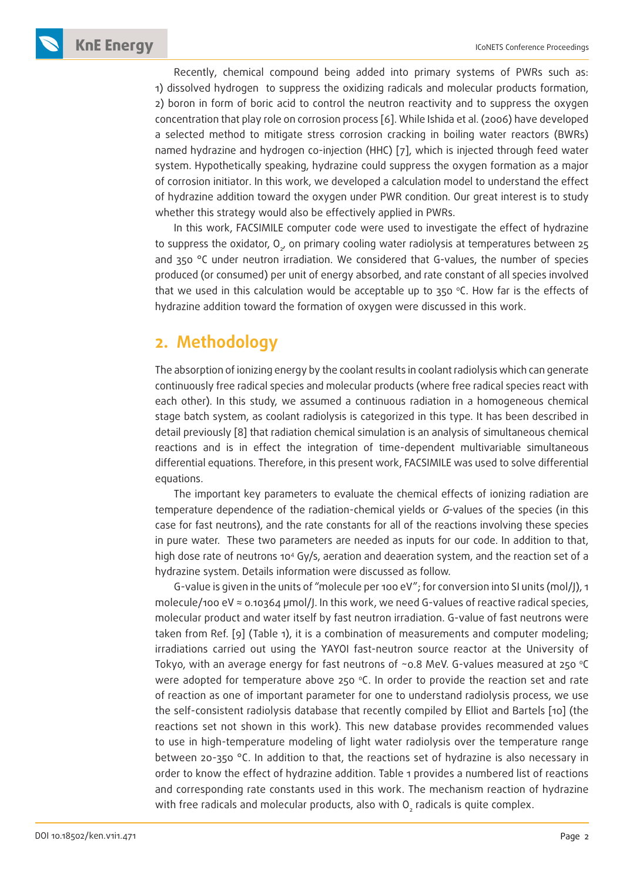**KnE Energy ICONETS Conference Proceedings** 

Recently, chemical compound being added into primary systems of PWRs such as: 1) dissolved hydrogen to suppress the oxidizing radicals and molecular products formation, 2) boron in form of boric acid to control the neutron reactivity and to suppress the oxygen concentration that play role on corrosion process [6]. While Ishida et al. (2006) have developed a selected method to mitigate stress corrosion cracking in boiling water reactors (BWRs) named hydrazine and hydrogen co-injection (HHC) [7], which is injected through feed water system. Hypothetically speaking, hydrazine could suppress the oxygen formation as a major of corrosion initiator. In this work, we developed a calculation model to understand the effect of hydrazine addition toward the oxygen under PWR condition. Our great interest is to study whether this strategy would also be effectively applied in PWRs.

In this work, FACSIMILE computer code were used to investigate the effect of hydrazine to suppress the oxidator,  $\mathsf{O}_{\mathsf{z}'}$  on primary cooling water radiolysis at temperatures between 25 and 350 °C under neutron irradiation. We considered that G-values, the number of species produced (or consumed) per unit of energy absorbed, and rate constant of all species involved that we used in this calculation would be acceptable up to  $350$  °C. How far is the effects of hydrazine addition toward the formation of oxygen were discussed in this work.

### **2. Methodology**

The absorption of ionizing energy by the coolant results in coolant radiolysis which can generate continuously free radical species and molecular products (where free radical species react with each other). In this study, we assumed a continuous radiation in a homogeneous chemical stage batch system, as coolant radiolysis is categorized in this type. It has been described in detail previously [8] that radiation chemical simulation is an analysis of simultaneous chemical reactions and is in effect the integration of time-dependent multivariable simultaneous differential equations. Therefore, in this present work, FACSIMILE was used to solve differential equations.

The important key parameters to evaluate the chemical effects of ionizing radiation are temperature dependence of the radiation-chemical yields or G-values of the species (in this case for fast neutrons), and the rate constants for all of the reactions involving these species in pure water. These two parameters are needed as inputs for our code. In addition to that, high dose rate of neutrons 10<sup>4</sup> Gy/s, aeration and deaeration system, and the reaction set of a hydrazine system. Details information were discussed as follow.

G-value is given in the units of "molecule per 100 eV"; for conversion into SI units (mol/J), 1 molecule/100 eV ≈ 0.10364 µmol/J. In this work, we need G-values of reactive radical species, molecular product and water itself by fast neutron irradiation. G-value of fast neutrons were taken from Ref. [9] (Table 1), it is a combination of measurements and computer modeling; irradiations carried out using the YAYOI fast-neutron source reactor at the University of Tokyo, with an average energy for fast neutrons of  $\sim$  0.8 MeV. G-values measured at 250 °C were adopted for temperature above 250  $\degree$ C. In order to provide the reaction set and rate of reaction as one of important parameter for one to understand radiolysis process, we use the self-consistent radiolysis database that recently compiled by Elliot and Bartels [10] (the reactions set not shown in this work). This new database provides recommended values to use in high-temperature modeling of light water radiolysis over the temperature range between 20-350 °C. In addition to that, the reactions set of hydrazine is also necessary in order to know the effect of hydrazine addition. Table 1 provides a numbered list of reactions and corresponding rate constants used in this work. The mechanism reaction of hydrazine with free radicals and molecular products, also with  ${\mathsf O}_{_2}$  radicals is quite complex.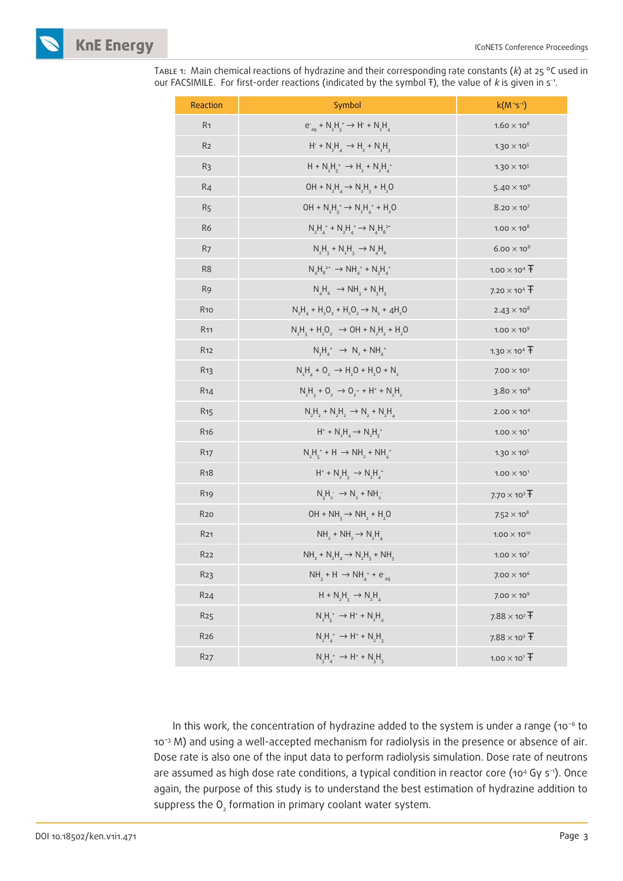

TABLE 1: Main chemical reactions of hydrazine and their corresponding rate constants ( $k$ ) at 25 °C used in our FACSIMILE. For first-order reactions (indicated by the symbol  $F$ ), the value of k is given in s<sup>-1</sup>.

| Reaction         | Symbol                                                                                         | $k(M^{-1}S^{-1})$      |
|------------------|------------------------------------------------------------------------------------------------|------------------------|
| R <sub>1</sub>   | $e_{\text{an}}^+ + N_2 H_{\text{c}}^+ \rightarrow H^+ + N_2 H_{\text{a}}^+$                    | $1.60 \times 10^8$     |
| R <sub>2</sub>   | $H^+ + N_2H^+ \rightarrow H^+ + N_2H^+$                                                        | $1.30 \times 10^{5}$   |
| R <sub>3</sub>   | $H + N_2H_5^+ \rightarrow H_2 + N_2H_4^+$                                                      | $1.30 \times 10^{5}$   |
| R <sub>4</sub>   | $OH + N_2H_4 \rightarrow N_2H_3 + H_2O$                                                        | $5.40 \times 10^{9}$   |
| R <sub>5</sub>   | $OH + N_2H_5^+ \rightarrow N_2H_4^+ + H_2O$                                                    | $8.20 \times 10^{7}$   |
| R <sub>6</sub>   | $N_2H_4^* + N_2H_4^* \rightarrow N_4H_8^{2*}$                                                  | $1.00 \times 10^8$     |
| R <sub>7</sub>   | $N_2H_3 + N_2H_3 \rightarrow N_4H_6$                                                           | $6.00 \times 10^8$     |
| R <sub>8</sub>   | $N_AH_8^{2+} \rightarrow NH_4^+ + N_3H_4^+$                                                    | $1.00 \times 10^4$ T   |
| R <sub>9</sub>   | $N_A H_6 \rightarrow NH_3 + N_2 H_3$                                                           | $7.20 \times 10^{4}$ T |
| <b>R10</b>       | $N_2H_4 + H_2O_2 + H_2O_2 \rightarrow N_2 + 4H_2O$                                             | $2.43 \times 10^{8}$   |
| R <sub>11</sub>  | $N_1H_1 + H_2O_2 \rightarrow OH + N_1H_2 + H_2O$                                               | $1.00\times10^9$       |
| <b>R12</b>       | $N_3H_4^+ \rightarrow N_2 + NH_4^+$                                                            | $1.30 \times 10^{4}$ T |
| R <sub>13</sub>  | $N_2H_4 + O_2 \rightarrow H_2O + H_2O + N_2$                                                   | $7.00 \times 10^{3}$   |
| R <sub>14</sub>  | $N_1H_2 + O_2 \rightarrow O_2 - + H^* + N_2H_2$                                                | $3.80 \times 10^8$     |
| R <sub>15</sub>  | $N_2H_2 + N_2H_2 \rightarrow N_2 + N_2H_4$                                                     | $2.00 \times 10^{4}$   |
| R <sub>16</sub>  | $H^* + N_2H_4 \rightarrow N_2H_5^*$                                                            | $1.00 \times 10^{1}$   |
| <b>R17</b>       | $N_2H_5^* + H \rightarrow NH_2 + NH_4^*$                                                       | $1.30 \times 10^{5}$   |
| <b>R18</b>       | $H^*$ + N <sub>2</sub> H <sub>3</sub> $\rightarrow$ N <sub>2</sub> H <sub>4</sub> <sup>+</sup> | $1.00 \times 10^{1}$   |
| R <sub>19</sub>  | $N_2H_2^- \rightarrow N_2 + NH_2^-$                                                            | $7.70 \times 10^3$ T   |
| <b>R20</b>       | $OH + NH_3 \rightarrow NH_2 + H_2O$                                                            | $7.52 \times 10^{8}$   |
| R <sub>21</sub>  | $NH2 + NH2 \rightarrow N2H4$                                                                   | $1.00 \times 10^{10}$  |
| <b>R22</b>       | $NH2 + N2H4 \rightarrow N2H3 + NH3$                                                            | $1.00 \times 10^{7}$   |
| R <sub>2</sub> 3 | $NH_3 + H \rightarrow NH_4^+ + e^-_{aq}$                                                       | $7.00 \times 10^{6}$   |
| R <sub>24</sub>  | $H + N_2H_3 \rightarrow N_2H_4$                                                                | $7.00 \times 10^{9}$   |
| R <sub>25</sub>  | $N_2H_5^* \to H^* + N_2H_4$                                                                    | $7.88 \times 10^{2}$ T |
| <b>R26</b>       | $N_2H_4^* \to H^* + N_2H_3$                                                                    | $7.88 \times 10^{3}$ T |
| <b>R27</b>       | $N_3H_4^+ \rightarrow H^+ + N_3H_3$                                                            | $1.00 \times 10^{1}$ T |

In this work, the concentration of hydrazine added to the system is under a range (10−6 to 10−3 M) and using a well-accepted mechanism for radiolysis in the presence or absence of air. Dose rate is also one of the input data to perform radiolysis simulation. Dose rate of neutrons are assumed as high dose rate conditions, a typical condition in reactor core (10<sup>4</sup> Gy s<sup>-1</sup>). Once again, the purpose of this study is to understand the best estimation of hydrazine addition to suppress the  $\overline{O}_2$  formation in primary coolant water system.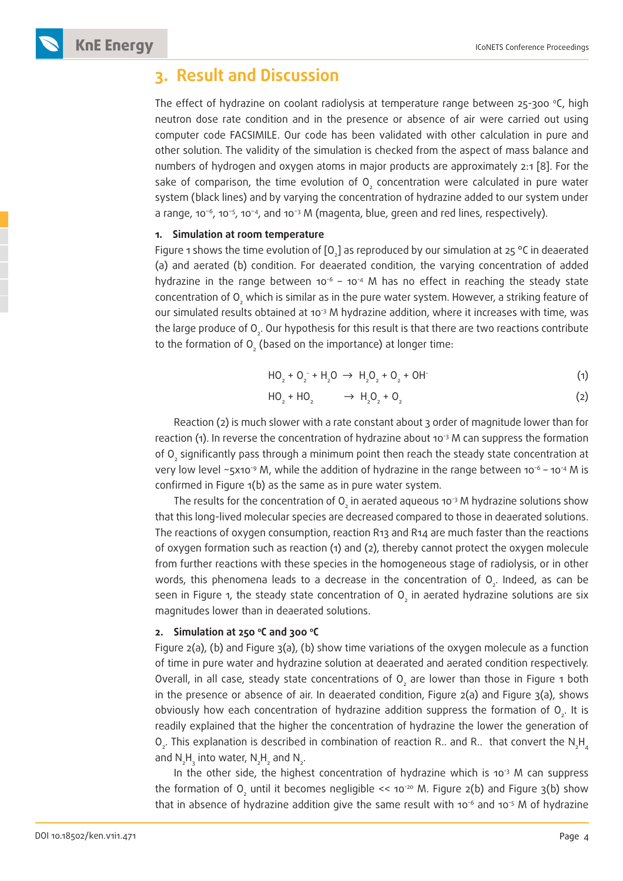

#### **3. Result and Discussion**

The effect of hydrazine on coolant radiolysis at temperature range between 25-300 °C, high neutron dose rate condition and in the presence or absence of air were carried out using computer code FACSIMILE. Our code has been validated with other calculation in pure and other solution. The validity of the simulation is checked from the aspect of mass balance and numbers of hydrogen and oxygen atoms in major products are approximately 2:1 [8]. For the sake of comparison, the time evolution of  $\mathsf{O}_2$  concentration were calculated in pure water system (black lines) and by varying the concentration of hydrazine added to our system under a range, 10−6, 10−5, 10−4, and 10−3 M (magenta, blue, green and red lines, respectively).

#### **1. Simulation at room temperature**

Figure 1 shows the time evolution of [O<sub>2</sub>] as reproduced by our simulation at 25 °C in deaerated (a) and aerated (b) condition. For deaerated condition, the varying concentration of added hydrazine in the range between 10<sup>-6</sup> – 10<sup>-4</sup> M has no effect in reaching the steady state concentration of  ${\mathsf O}_{\scriptscriptstyle 2}$  which is similar as in the pure water system. However, a striking feature of our simulated results obtained at 10<sup>-3</sup> M hydrazine addition, where it increases with time, was the large produce of O<sub>2</sub>. Our hypothesis for this result is that there are two reactions contribute to the formation of O<sub>2</sub> (based on the importance) at longer time:

$$
HO_2 + O_2 + H_2O \rightarrow H_2O_2 + O_2 + OH \tag{1}
$$

$$
HO_2 + HO_2 \longrightarrow H_2O_2 + O_2 \tag{2}
$$

Reaction (2) is much slower with a rate constant about 3 order of magnitude lower than for reaction (1). In reverse the concentration of hydrazine about 10 $\frac{3}{3}$  M can suppress the formation of O<sub>2</sub> significantly pass through a minimum point then reach the steady state concentration at very low level ~5x10<sup>-9</sup> M, while the addition of hydrazine in the range between 10<sup>-6</sup> – 10<sup>-4</sup> M is confirmed in Figure 1(b) as the same as in pure water system.

The results for the concentration of  ${\mathsf O}_{\!_2}$  in aerated aqueous 10<sup>-3</sup> M hydrazine solutions show that this long-lived molecular species are decreased compared to those in deaerated solutions. The reactions of oxygen consumption, reaction R13 and R14 are much faster than the reactions of oxygen formation such as reaction (1) and (2), thereby cannot protect the oxygen molecule from further reactions with these species in the homogeneous stage of radiolysis, or in other words, this phenomena leads to a decrease in the concentration of  $\mathrm{O}_{2}$ . Indeed, as can be seen in Figure 1, the steady state concentration of  ${\mathsf O}_{_2}$  in aerated hydrazine solutions are six magnitudes lower than in deaerated solutions.

#### **2. Simulation at 250 oC and 300 oC**

Figure 2(a), (b) and Figure 3(a), (b) show time variations of the oxygen molecule as a function of time in pure water and hydrazine solution at deaerated and aerated condition respectively. Overall, in all case, steady state concentrations of  $\mathrm O_{_{2}}$  are lower than those in Figure 1 both in the presence or absence of air. In deaerated condition, Figure 2(a) and Figure 3(a), shows obviously how each concentration of hydrazine addition suppress the formation of  $O_{2}$ . It is readily explained that the higher the concentration of hydrazine the lower the generation of O<sub>2</sub>. This explanation is described in combination of reaction R.. and R.. that convert the N<sub>2</sub>H<sub>4</sub> and  $N_2H_3$  into water,  $N_2H_2$  and  $N_2$ .

In the other side, the highest concentration of hydrazine which is 10<sup>-3</sup> M can suppress the formation of O<sub>2</sub> until it becomes negligible << 10<sup>-20</sup> M. Figure 2(b) and Figure 3(b) show that in absence of hydrazine addition give the same result with 10<sup>-6</sup> and 10<sup>-5</sup> M of hydrazine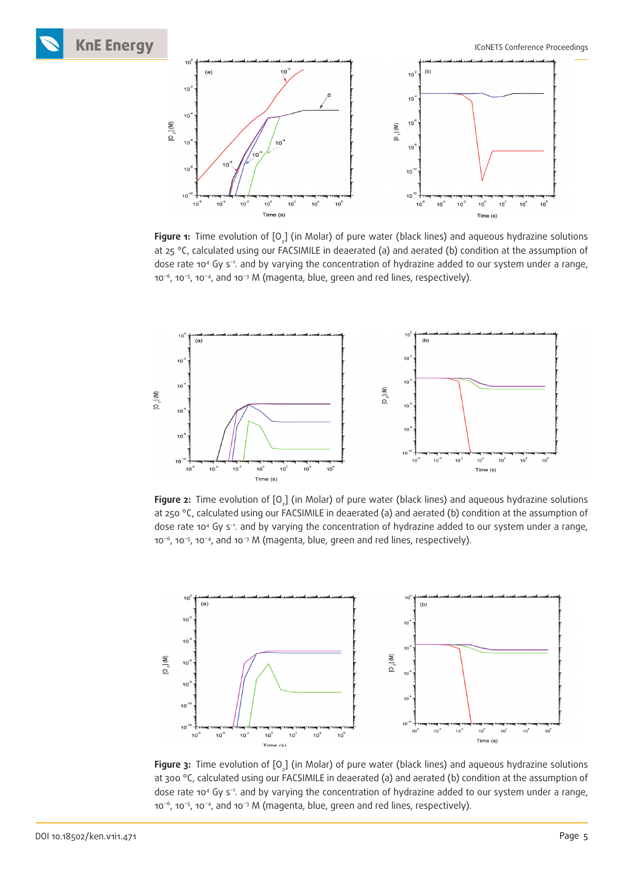**KnE Energy ICONETS** Conference Proceedings



**Figure 1:** Time evolution of [O<sub>2</sub>] (in Molar) of pure water (black lines) and aqueous hydrazine solutions at 25 °C, calculated using our FACSIMILE in deaerated (a) and aerated (b) condition at the assumption of dose rate 104 Gy s-1. and by varying the concentration of hydrazine added to our system under a range, 10−6, 10−5, 10−4, and 10−3 M (magenta, blue, green and red lines, respectively).



**Figure 2:** Time evolution of [O<sub>2</sub>] (in Molar) of pure water (black lines) and aqueous hydrazine solutions at 250 °C, calculated using our FACSIMILE in deaerated (a) and aerated (b) condition at the assumption of dose rate 104 Gy s-1. and by varying the concentration of hydrazine added to our system under a range, 10−6, 10−5, 10−4, and 10−3 M (magenta, blue, green and red lines, respectively).



**Figure 3:** Time evolution of [O<sub>2</sub>] (in Molar) of pure water (black lines) and aqueous hydrazine solutions at 300 °C, calculated using our FACSIMILE in deaerated (a) and aerated (b) condition at the assumption of dose rate 104 Gy s-1. and by varying the concentration of hydrazine added to our system under a range, 10−6, 10−5, 10−4, and 10−3 M (magenta, blue, green and red lines, respectively).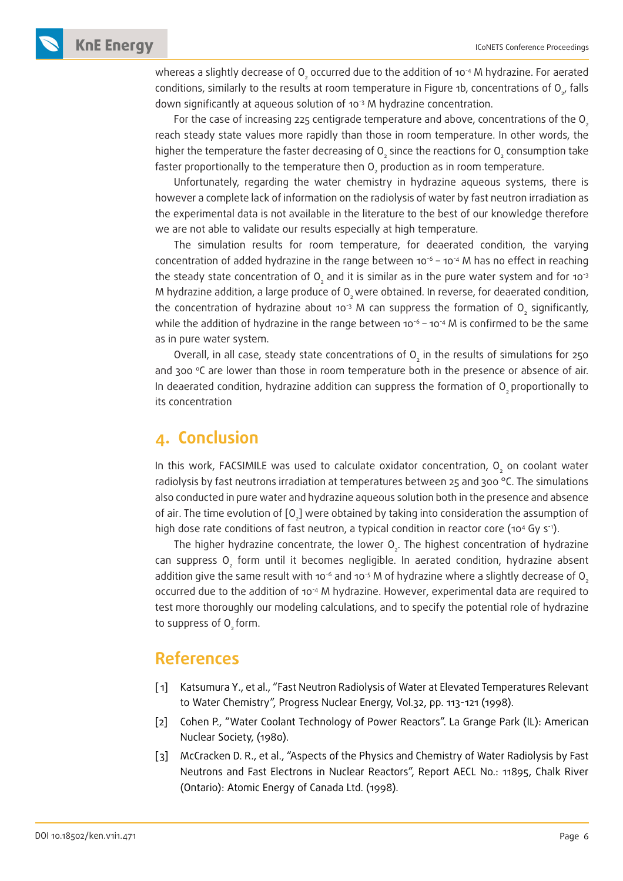**KnE Energy ICONETS Conference Proceedings** 

whereas a slightly decrease of O<sub>2</sub> occurred due to the addition of 10<sup>-4</sup> M hydrazine. For aerated conditions, similarly to the results at room temperature in Figure 1b, concentrations of  ${\mathsf O}_{_{\mathsf D}'}$  falls down significantly at aqueous solution of 10<sup>-3</sup> M hydrazine concentration.

For the case of increasing 225 centigrade temperature and above, concentrations of the  $O<sub>2</sub>$ reach steady state values more rapidly than those in room temperature. In other words, the higher the temperature the faster decreasing of O<sub>2</sub> since the reactions for O<sub>2</sub> consumption take faster proportionally to the temperature then  ${\mathsf O}_{_2}$  production as in room temperature.

Unfortunately, regarding the water chemistry in hydrazine aqueous systems, there is however a complete lack of information on the radiolysis of water by fast neutron irradiation as the experimental data is not available in the literature to the best of our knowledge therefore we are not able to validate our results especially at high temperature.

The simulation results for room temperature, for deaerated condition, the varying concentration of added hydrazine in the range between  $10^{-6}$  –  $10^{-4}$  M has no effect in reaching the steady state concentration of O<sub>2</sub> and it is similar as in the pure water system and for 10<sup>-3</sup> M hydrazine addition, a large produce of O<sub>2</sub> were obtained. In reverse, for deaerated condition, the concentration of hydrazine about 10<sup>-3</sup> M can suppress the formation of O<sub>2</sub> significantly, while the addition of hydrazine in the range between  $10^{-6}$  –  $10^{-4}$  M is confirmed to be the same as in pure water system.

Overall, in all case, steady state concentrations of  $\overline{\mathrm{O}}_{_{2}}$  in the results of simulations for 250 and 300 °C are lower than those in room temperature both in the presence or absence of air. In deaerated condition, hydrazine addition can suppress the formation of  $O<sub>s</sub>$  proportionally to its concentration

### **4. Conclusion**

In this work, FACSIMILE was used to calculate oxidator concentration,  $O_{\frac{1}{2}}$  on coolant water radiolysis by fast neutrons irradiation at temperatures between 25 and 300 °C. The simulations also conducted in pure water and hydrazine aqueous solution both in the presence and absence of air. The time evolution of [O<sub>2</sub>] were obtained by taking into consideration the assumption of high dose rate conditions of fast neutron, a typical condition in reactor core (10<sup>4</sup> Gy s<sup>-1</sup>).

The higher hydrazine concentrate, the lower  $O_{2}$ . The highest concentration of hydrazine can suppress  $O_2$  form until it becomes negligible. In aerated condition, hydrazine absent addition give the same result with 10<sup>-6</sup> and 10<sup>-5</sup> M of hydrazine where a slightly decrease of O<sub>2</sub> occurred due to the addition of 10-4 M hydrazine. However, experimental data are required to test more thoroughly our modeling calculations, and to specify the potential role of hydrazine to suppress of O<sub>2</sub> form.

#### **References**

- [ 1] Katsumura Y., et al., "Fast Neutron Radiolysis of Water at Elevated Temperatures Relevant to Water Chemistry", Progress Nuclear Energy, Vol.32, pp. 113-121 (1998).
- [2] Cohen P., "Water Coolant Technology of Power Reactors". La Grange Park (IL): American Nuclear Society, (1980).
- [3] McCracken D. R., et al., "Aspects of the Physics and Chemistry of Water Radiolysis by Fast Neutrons and Fast Electrons in Nuclear Reactors", Report AECL No.: 11895, Chalk River (Ontario): Atomic Energy of Canada Ltd. (1998).